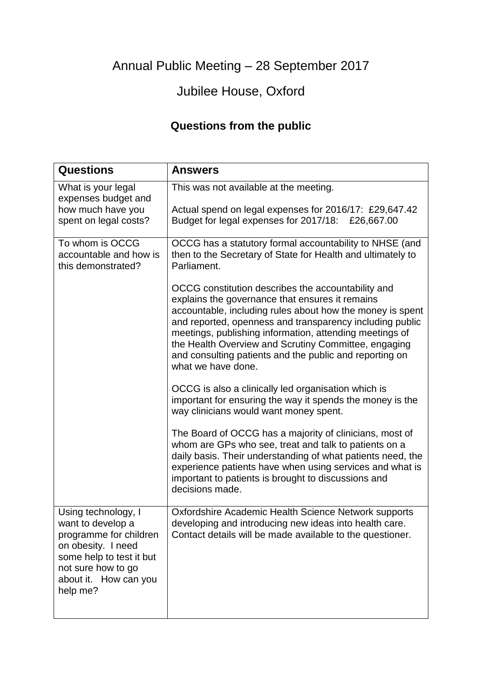Annual Public Meeting – 28 September 2017

## Jubilee House, Oxford

## **Questions from the public**

| <b>Questions</b>                                                                                                                                                                | <b>Answers</b>                                                                                                                                                                                                                                                                                                                                                                                                                                                                                                                                                              |
|---------------------------------------------------------------------------------------------------------------------------------------------------------------------------------|-----------------------------------------------------------------------------------------------------------------------------------------------------------------------------------------------------------------------------------------------------------------------------------------------------------------------------------------------------------------------------------------------------------------------------------------------------------------------------------------------------------------------------------------------------------------------------|
| What is your legal<br>expenses budget and<br>how much have you<br>spent on legal costs?                                                                                         | This was not available at the meeting.<br>Actual spend on legal expenses for 2016/17: £29,647.42<br>Budget for legal expenses for 2017/18: £26,667.00                                                                                                                                                                                                                                                                                                                                                                                                                       |
| To whom is OCCG<br>accountable and how is<br>this demonstrated?                                                                                                                 | OCCG has a statutory formal accountability to NHSE (and<br>then to the Secretary of State for Health and ultimately to<br>Parliament.<br>OCCG constitution describes the accountability and<br>explains the governance that ensures it remains<br>accountable, including rules about how the money is spent<br>and reported, openness and transparency including public<br>meetings, publishing information, attending meetings of<br>the Health Overview and Scrutiny Committee, engaging<br>and consulting patients and the public and reporting on<br>what we have done. |
|                                                                                                                                                                                 | OCCG is also a clinically led organisation which is<br>important for ensuring the way it spends the money is the<br>way clinicians would want money spent.<br>The Board of OCCG has a majority of clinicians, most of<br>whom are GPs who see, treat and talk to patients on a<br>daily basis. Their understanding of what patients need, the<br>experience patients have when using services and what is<br>important to patients is brought to discussions and<br>decisions made.                                                                                         |
| Using technology, I<br>want to develop a<br>programme for children<br>on obesity. I need<br>some help to test it but<br>not sure how to go<br>about it. How can you<br>help me? | Oxfordshire Academic Health Science Network supports<br>developing and introducing new ideas into health care.<br>Contact details will be made available to the questioner.                                                                                                                                                                                                                                                                                                                                                                                                 |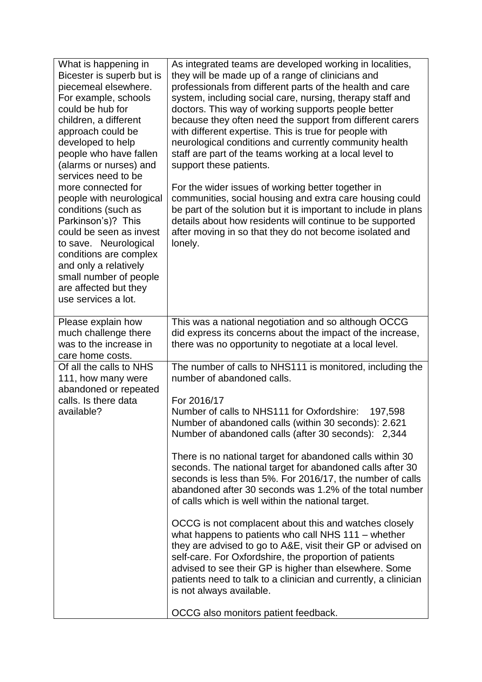| What is happening in<br>Bicester is superb but is<br>piecemeal elsewhere.<br>For example, schools<br>could be hub for<br>children, a different<br>approach could be<br>developed to help<br>people who have fallen<br>(alarms or nurses) and<br>services need to be<br>more connected for<br>people with neurological<br>conditions (such as<br>Parkinson's)? This<br>could be seen as invest<br>to save. Neurological<br>conditions are complex<br>and only a relatively<br>small number of people<br>are affected but they<br>use services a lot. | As integrated teams are developed working in localities,<br>they will be made up of a range of clinicians and<br>professionals from different parts of the health and care<br>system, including social care, nursing, therapy staff and<br>doctors. This way of working supports people better<br>because they often need the support from different carers<br>with different expertise. This is true for people with<br>neurological conditions and currently community health<br>staff are part of the teams working at a local level to<br>support these patients.<br>For the wider issues of working better together in<br>communities, social housing and extra care housing could<br>be part of the solution but it is important to include in plans<br>details about how residents will continue to be supported<br>after moving in so that they do not become isolated and<br>lonely.                                                                                                                                    |
|-----------------------------------------------------------------------------------------------------------------------------------------------------------------------------------------------------------------------------------------------------------------------------------------------------------------------------------------------------------------------------------------------------------------------------------------------------------------------------------------------------------------------------------------------------|----------------------------------------------------------------------------------------------------------------------------------------------------------------------------------------------------------------------------------------------------------------------------------------------------------------------------------------------------------------------------------------------------------------------------------------------------------------------------------------------------------------------------------------------------------------------------------------------------------------------------------------------------------------------------------------------------------------------------------------------------------------------------------------------------------------------------------------------------------------------------------------------------------------------------------------------------------------------------------------------------------------------------------|
| Please explain how<br>much challenge there<br>was to the increase in<br>care home costs.                                                                                                                                                                                                                                                                                                                                                                                                                                                            | This was a national negotiation and so although OCCG<br>did express its concerns about the impact of the increase,<br>there was no opportunity to negotiate at a local level.                                                                                                                                                                                                                                                                                                                                                                                                                                                                                                                                                                                                                                                                                                                                                                                                                                                    |
| Of all the calls to NHS<br>111, how many were<br>abandoned or repeated<br>calls. Is there data<br>available?                                                                                                                                                                                                                                                                                                                                                                                                                                        | The number of calls to NHS111 is monitored, including the<br>number of abandoned calls.<br>For 2016/17<br>Number of calls to NHS111 for Oxfordshire:<br>197,598<br>Number of abandoned calls (within 30 seconds): 2.621<br>Number of abandoned calls (after 30 seconds): 2,344<br>There is no national target for abandoned calls within 30<br>seconds. The national target for abandoned calls after 30<br>seconds is less than 5%. For 2016/17, the number of calls<br>abandoned after 30 seconds was 1.2% of the total number<br>of calls which is well within the national target.<br>OCCG is not complacent about this and watches closely<br>what happens to patients who call NHS 111 - whether<br>they are advised to go to A&E, visit their GP or advised on<br>self-care. For Oxfordshire, the proportion of patients<br>advised to see their GP is higher than elsewhere. Some<br>patients need to talk to a clinician and currently, a clinician<br>is not always available.<br>OCCG also monitors patient feedback. |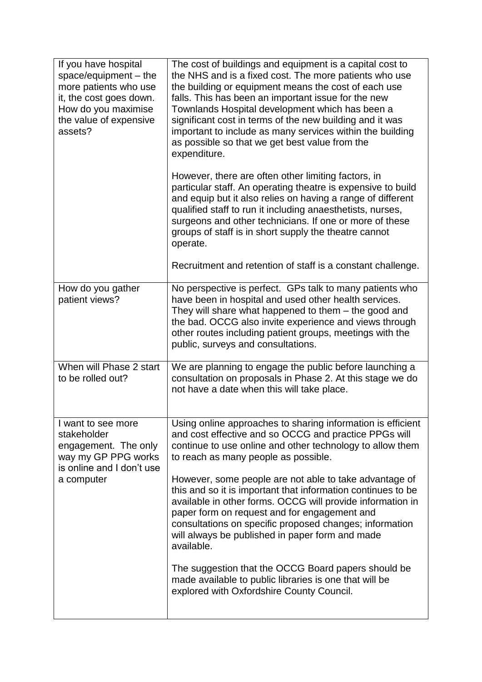| If you have hospital<br>space/equipment - the<br>more patients who use<br>it, the cost goes down.<br>How do you maximise<br>the value of expensive<br>assets? | The cost of buildings and equipment is a capital cost to<br>the NHS and is a fixed cost. The more patients who use<br>the building or equipment means the cost of each use<br>falls. This has been an important issue for the new<br>Townlands Hospital development which has been a<br>significant cost in terms of the new building and it was<br>important to include as many services within the building<br>as possible so that we get best value from the<br>expenditure. |
|---------------------------------------------------------------------------------------------------------------------------------------------------------------|---------------------------------------------------------------------------------------------------------------------------------------------------------------------------------------------------------------------------------------------------------------------------------------------------------------------------------------------------------------------------------------------------------------------------------------------------------------------------------|
|                                                                                                                                                               | However, there are often other limiting factors, in<br>particular staff. An operating theatre is expensive to build<br>and equip but it also relies on having a range of different<br>qualified staff to run it including anaesthetists, nurses,<br>surgeons and other technicians. If one or more of these<br>groups of staff is in short supply the theatre cannot<br>operate.                                                                                                |
|                                                                                                                                                               | Recruitment and retention of staff is a constant challenge.                                                                                                                                                                                                                                                                                                                                                                                                                     |
| How do you gather<br>patient views?                                                                                                                           | No perspective is perfect. GPs talk to many patients who<br>have been in hospital and used other health services.<br>They will share what happened to them – the good and<br>the bad. OCCG also invite experience and views through<br>other routes including patient groups, meetings with the<br>public, surveys and consultations.                                                                                                                                           |
| When will Phase 2 start<br>to be rolled out?                                                                                                                  | We are planning to engage the public before launching a<br>consultation on proposals in Phase 2. At this stage we do<br>not have a date when this will take place.                                                                                                                                                                                                                                                                                                              |
| I want to see more<br>stakeholder<br>engagement. The only<br>way my GP PPG works<br>is online and I don't use<br>a computer                                   | Using online approaches to sharing information is efficient<br>and cost effective and so OCCG and practice PPGs will<br>continue to use online and other technology to allow them<br>to reach as many people as possible.                                                                                                                                                                                                                                                       |
|                                                                                                                                                               | However, some people are not able to take advantage of<br>this and so it is important that information continues to be<br>available in other forms. OCCG will provide information in<br>paper form on request and for engagement and<br>consultations on specific proposed changes; information<br>will always be published in paper form and made<br>available.                                                                                                                |
|                                                                                                                                                               | The suggestion that the OCCG Board papers should be<br>made available to public libraries is one that will be<br>explored with Oxfordshire County Council.                                                                                                                                                                                                                                                                                                                      |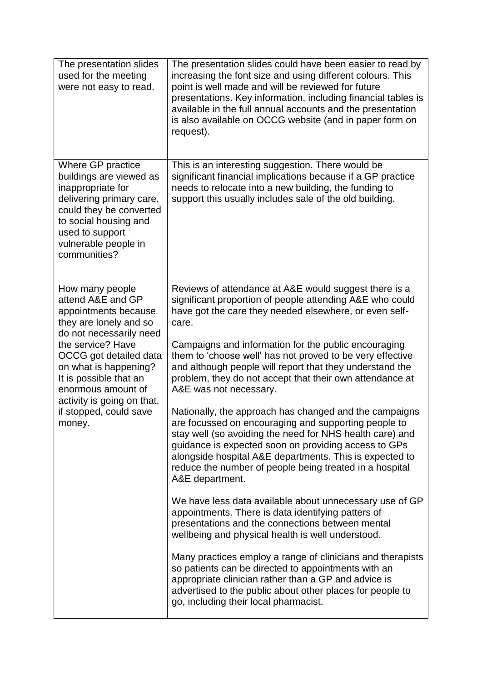| The presentation slides<br>used for the meeting<br>were not easy to read.                                                                                                                                                                                                                                   | The presentation slides could have been easier to read by<br>increasing the font size and using different colours. This<br>point is well made and will be reviewed for future<br>presentations. Key information, including financial tables is<br>available in the full annual accounts and the presentation<br>is also available on OCCG website (and in paper form on<br>request).                                                                                                                                                                                                                                                                                                                                                                                                                                    |
|-------------------------------------------------------------------------------------------------------------------------------------------------------------------------------------------------------------------------------------------------------------------------------------------------------------|-------------------------------------------------------------------------------------------------------------------------------------------------------------------------------------------------------------------------------------------------------------------------------------------------------------------------------------------------------------------------------------------------------------------------------------------------------------------------------------------------------------------------------------------------------------------------------------------------------------------------------------------------------------------------------------------------------------------------------------------------------------------------------------------------------------------------|
| Where GP practice<br>buildings are viewed as<br>inappropriate for<br>delivering primary care,<br>could they be converted<br>to social housing and<br>used to support<br>vulnerable people in<br>communities?                                                                                                | This is an interesting suggestion. There would be<br>significant financial implications because if a GP practice<br>needs to relocate into a new building, the funding to<br>support this usually includes sale of the old building.                                                                                                                                                                                                                                                                                                                                                                                                                                                                                                                                                                                    |
| How many people<br>attend A&E and GP<br>appointments because<br>they are lonely and so<br>do not necessarily need<br>the service? Have<br>OCCG got detailed data<br>on what is happening?<br>It is possible that an<br>enormous amount of<br>activity is going on that,<br>if stopped, could save<br>money. | Reviews of attendance at A&E would suggest there is a<br>significant proportion of people attending A&E who could<br>have got the care they needed elsewhere, or even self-<br>care.<br>Campaigns and information for the public encouraging<br>them to 'choose well' has not proved to be very effective<br>and although people will report that they understand the<br>problem, they do not accept that their own attendance at<br>A&E was not necessary.<br>Nationally, the approach has changed and the campaigns<br>are focussed on encouraging and supporting people to<br>stay well (so avoiding the need for NHS health care) and<br>guidance is expected soon on providing access to GPs<br>alongside hospital A&E departments. This is expected to<br>reduce the number of people being treated in a hospital |
|                                                                                                                                                                                                                                                                                                             | A&E department.<br>We have less data available about unnecessary use of GP<br>appointments. There is data identifying patters of<br>presentations and the connections between mental<br>wellbeing and physical health is well understood.<br>Many practices employ a range of clinicians and therapists<br>so patients can be directed to appointments with an<br>appropriate clinician rather than a GP and advice is<br>advertised to the public about other places for people to<br>go, including their local pharmacist.                                                                                                                                                                                                                                                                                            |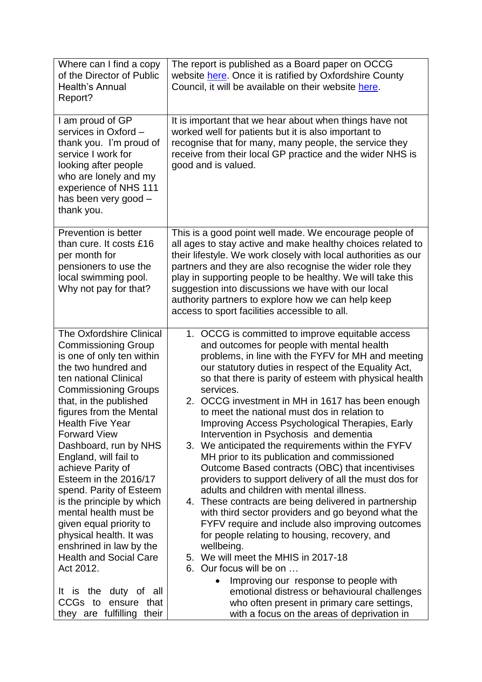| Where can I find a copy<br>of the Director of Public<br>Health's Annual<br>Report?                                                                                                                                                                                                                                                                                                                                                                                                                                                                                                                                 | The report is published as a Board paper on OCCG<br>website here. Once it is ratified by Oxfordshire County<br>Council, it will be available on their website here.                                                                                                                                                                                                                                                                                                                                                                                                                                                                                                                                                                                                                                                                                                                                                                                                                                                                                                                                                                             |
|--------------------------------------------------------------------------------------------------------------------------------------------------------------------------------------------------------------------------------------------------------------------------------------------------------------------------------------------------------------------------------------------------------------------------------------------------------------------------------------------------------------------------------------------------------------------------------------------------------------------|-------------------------------------------------------------------------------------------------------------------------------------------------------------------------------------------------------------------------------------------------------------------------------------------------------------------------------------------------------------------------------------------------------------------------------------------------------------------------------------------------------------------------------------------------------------------------------------------------------------------------------------------------------------------------------------------------------------------------------------------------------------------------------------------------------------------------------------------------------------------------------------------------------------------------------------------------------------------------------------------------------------------------------------------------------------------------------------------------------------------------------------------------|
| I am proud of GP<br>services in Oxford -<br>thank you. I'm proud of<br>service I work for<br>looking after people<br>who are lonely and my<br>experience of NHS 111<br>has been very good -<br>thank you.                                                                                                                                                                                                                                                                                                                                                                                                          | It is important that we hear about when things have not<br>worked well for patients but it is also important to<br>recognise that for many, many people, the service they<br>receive from their local GP practice and the wider NHS is<br>good and is valued.                                                                                                                                                                                                                                                                                                                                                                                                                                                                                                                                                                                                                                                                                                                                                                                                                                                                                   |
| Prevention is better<br>than cure. It costs £16<br>per month for<br>pensioners to use the<br>local swimming pool.<br>Why not pay for that?                                                                                                                                                                                                                                                                                                                                                                                                                                                                         | This is a good point well made. We encourage people of<br>all ages to stay active and make healthy choices related to<br>their lifestyle. We work closely with local authorities as our<br>partners and they are also recognise the wider role they<br>play in supporting people to be healthy. We will take this<br>suggestion into discussions we have with our local<br>authority partners to explore how we can help keep<br>access to sport facilities accessible to all.                                                                                                                                                                                                                                                                                                                                                                                                                                                                                                                                                                                                                                                                  |
| The Oxfordshire Clinical<br><b>Commissioning Group</b><br>is one of only ten within<br>the two hundred and<br>ten national Clinical<br><b>Commissioning Groups</b><br>that, in the published<br>figures from the Mental<br><b>Health Five Year</b><br><b>Forward View</b><br>Dashboard, run by NHS<br>England, will fail to<br>achieve Parity of<br>Esteem in the 2016/17<br>spend. Parity of Esteem<br>is the principle by which<br>mental health must be<br>given equal priority to<br>physical health. It was<br>enshrined in law by the<br><b>Health and Social Care</b><br>Act 2012.<br>It is the duty of all | 1. OCCG is committed to improve equitable access<br>and outcomes for people with mental health<br>problems, in line with the FYFV for MH and meeting<br>our statutory duties in respect of the Equality Act,<br>so that there is parity of esteem with physical health<br>services.<br>2. OCCG investment in MH in 1617 has been enough<br>to meet the national must dos in relation to<br>Improving Access Psychological Therapies, Early<br>Intervention in Psychosis and dementia<br>3. We anticipated the requirements within the FYFV<br>MH prior to its publication and commissioned<br>Outcome Based contracts (OBC) that incentivises<br>providers to support delivery of all the must dos for<br>adults and children with mental illness.<br>4. These contracts are being delivered in partnership<br>with third sector providers and go beyond what the<br>FYFV require and include also improving outcomes<br>for people relating to housing, recovery, and<br>wellbeing.<br>5. We will meet the MHIS in 2017-18<br>6. Our focus will be on<br>Improving our response to people with<br>emotional distress or behavioural challenges |
| CCGs to<br>ensure<br>that<br>they are fulfilling<br>their                                                                                                                                                                                                                                                                                                                                                                                                                                                                                                                                                          | who often present in primary care settings,<br>with a focus on the areas of deprivation in                                                                                                                                                                                                                                                                                                                                                                                                                                                                                                                                                                                                                                                                                                                                                                                                                                                                                                                                                                                                                                                      |